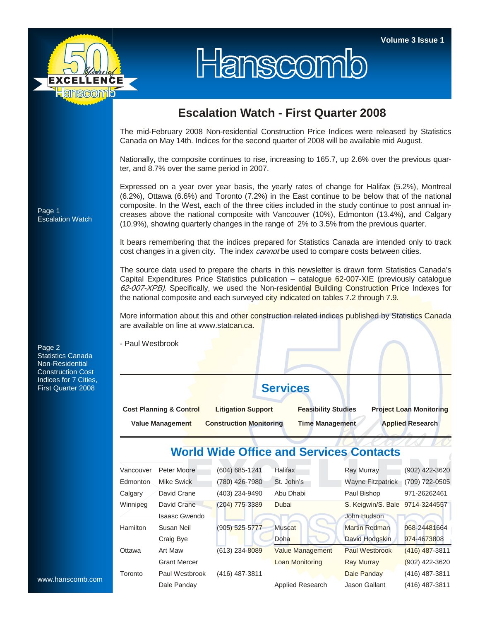

# Hanscomb

## **Escalation Watch - First Quarter 2008**

The mid-February 2008 Non-residential Construction Price Indices were released by Statistics Canada on May 14th. Indices for the second quarter of 2008 will be available mid August.

Nationally, the composite continues to rise, increasing to 165.7, up 2.6% over the previous quarter, and 8.7% over the same period in 2007.

Expressed on a year over year basis, the yearly rates of change for Halifax (5.2%), Montreal (6.2%), Ottawa (6.6%) and Toronto (7.2%) in the East continue to be below that of the national composite. In the West, each of the three cities included in the study continue to post annual increases above the national composite with Vancouver (10%), Edmonton (13.4%), and Calgary (10.9%), showing quarterly changes in the range of 2% to 3.5% from the previous quarter.

It bears remembering that the indices prepared for Statistics Canada are intended only to track cost changes in a given city. The index *cannot* be used to compare costs between cities.

The source data used to prepare the charts in this newsletter is drawn form Statistics Canada's Capital Expenditures Price Statistics publication – catalogue 62-007-XIE (previously catalogue 62-007-XPB). Specifically, we used the Non-residential Building Construction Price Indexes for the national composite and each surveyed city indicated on tables 7.2 through 7.9.

More information about this and other construction related indices published by Statistics Canada are available on line at www.statcan.ca.

- Paul Westbrook

# **Services**

| <b>Cost Planning &amp; Control</b> | <b>Litigation Support</b>      | <b>Feasibility Studies</b> | <b>Project Loan Monitoring</b> |  |  |  |  |
|------------------------------------|--------------------------------|----------------------------|--------------------------------|--|--|--|--|
| Value Management                   | <b>Construction Monitoring</b> | <b>Time Management</b>     | <b>Applied Research</b>        |  |  |  |  |

## **World Wide Office and Services Contacts**

| Vancouver       | Peter Moore         | (604) 685-1241 | <b>Halifax</b>          | <b>Ray Murray</b>               | (902) 422-3620   |  |  |  |
|-----------------|---------------------|----------------|-------------------------|---------------------------------|------------------|--|--|--|
| Edmonton        | Mike Swick          | (780) 426-7980 | St. John's              | <b>Wayne Fitzpatrick</b>        | (709) 722-0505   |  |  |  |
| Calgary         | David Crane         | (403) 234-9490 | Abu Dhabi               | Paul Bishop                     | 971-26262461     |  |  |  |
| Winnipeg        | David Crane         | (204) 775-3389 | Dubai                   | S. Keigwin/S. Bale 9714-3244557 |                  |  |  |  |
|                 | Isaasc Gwendo       |                |                         | John Hudson                     |                  |  |  |  |
| <b>Hamilton</b> | Susan Neil          | (905) 525-5777 | <b>Muscat</b>           | <b>Martin Redman</b>            | 968-24481664     |  |  |  |
|                 | Craig Bye           |                | Doha                    | David Hodgskin                  | 974-4673808      |  |  |  |
| Ottawa          | Art Maw             | (613) 234-8089 | <b>Value Management</b> | <b>Paul Westbrook</b>           | $(416)$ 487-3811 |  |  |  |
|                 | <b>Grant Mercer</b> |                | <b>Loan Monitoring</b>  | <b>Ray Murray</b>               | $(902)$ 422-3620 |  |  |  |
| Toronto         | Paul Westbrook      | (416) 487-3811 |                         | Dale Panday                     | (416) 487-3811   |  |  |  |
|                 | Dale Panday         |                | Applied Research        | Jason Gallant                   | (416) 487-3811   |  |  |  |

Page 1 Escalation Watch

Page 2 Statistics Canada Non-Residential Construction Cost Indices for 7 Cities, First Quarter 2008